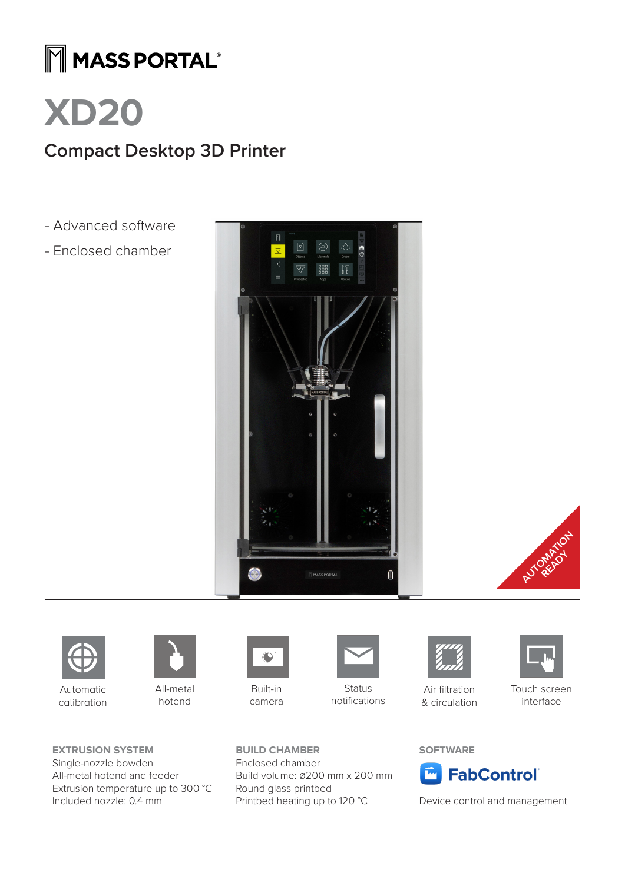## MMASS PORTAL®

# **XD20**

### **Compact Desktop 3D Printer**

- Advanced software
- Enclosed chamber







Automatic calibration



All-metal hotend

**EXTRUSION SYSTEM** Single-nozzle bowden All-metal hotend and feeder Extrusion temperature up to 300 °C Included nozzle: 0.4 mm



Built-in camera

**BUILD CHAMBER** Enclosed chamber

Round glass printbed

Build volume: 0200 mm x 200 mm

Printbed heating up to 120 °C



**Status** notifications



Air filtration & circulation



Touch screen interface

### **SOFTWARE**



Device control and management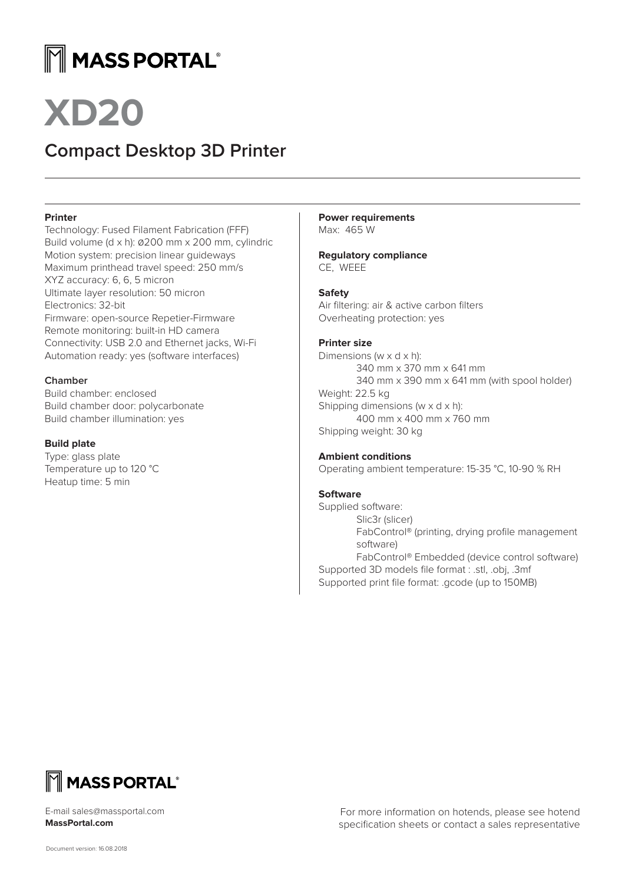## $\mathbb M$  MASS PORTAL®

### **Compact Desktop 3D Printer**

### **Printer**

Technology: Fused Filament Fabrication (FFF) Build volume (d x h): 0200 mm x 200 mm, cylindric Motion system: precision linear guideways Maximum printhead travel speed: 250 mm/s XYZ accuracy: 6, 6, 5 micron Ultimate layer resolution: 50 micron Electronics: 32-bit Firmware: open-source Repetier-Firmware Remote monitoring: built-in HD camera Connectivity: USB 2.0 and Ethernet jacks, Wi-Fi Automation ready: yes (software interfaces)

### **Chamber**

Build chamber: enclosed Build chamber door: polycarbonate Build chamber illumination: yes

### **Build plate**

Type: glass plate Temperature up to 120 °C Heatup time: 5 min

**Power requirements** Max: 465 W

**Regulatory compliance** CE, WEEE

### **Safety**

Air filtering: air & active carbon filters Overheating protection: yes

### **Printer size**

Dimensions (w x d x h): 340 mm x 370 mm x 641 mm 340 mm x 390 mm x 641 mm (with spool holder) Weight: 22.5 kg Shipping dimensions (w x d x h): 400 mm x 400 mm x 760 mm Shipping weight: 30 kg

### **Ambient conditions**

Operating ambient temperature: 15-35 °C, 10-90 % RH

### **Software**

Supplied software: Slic3r (slicer) FabControl® (printing, drying profile management software) FabControl® Embedded (device control software) Supported 3D models file format : .stl, .obj, .3mf Supported print file format: .gcode (up to 150MB)



E-mail sales@massportal.com **MassPortal.com**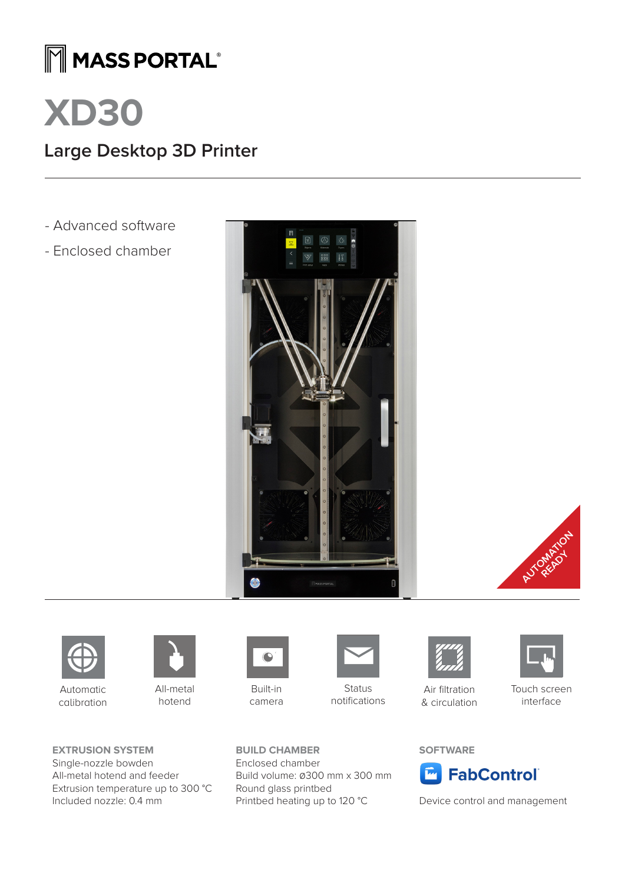## MMASS PORTAL®



### **Large Desktop 3D Printer**

- Advanced software
- Enclosed chamber







Automatic calibration



All-metal hotend

**EXTRUSION SYSTEM** Single-nozzle bowden All-metal hotend and feeder Extrusion temperature up to 300 °C Included nozzle: 0.4 mm



Built-in camera

**BUILD CHAMBER** Enclosed chamber

Round glass printbed

Build volume: 0300 mm x 300 mm

Printbed heating up to 120 °C



**Status** notifications



Air filtration & circulation



Touch screen interface

### **SOFTWARE**



Device control and management